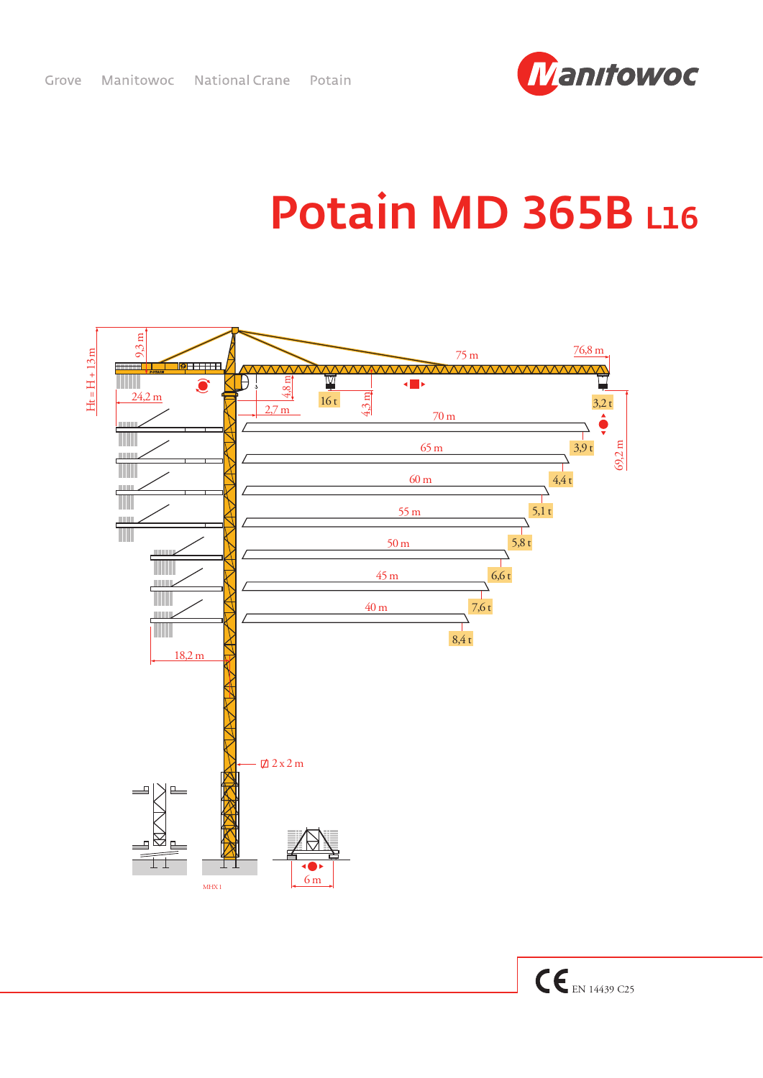

## **Potain MD 365B L16**

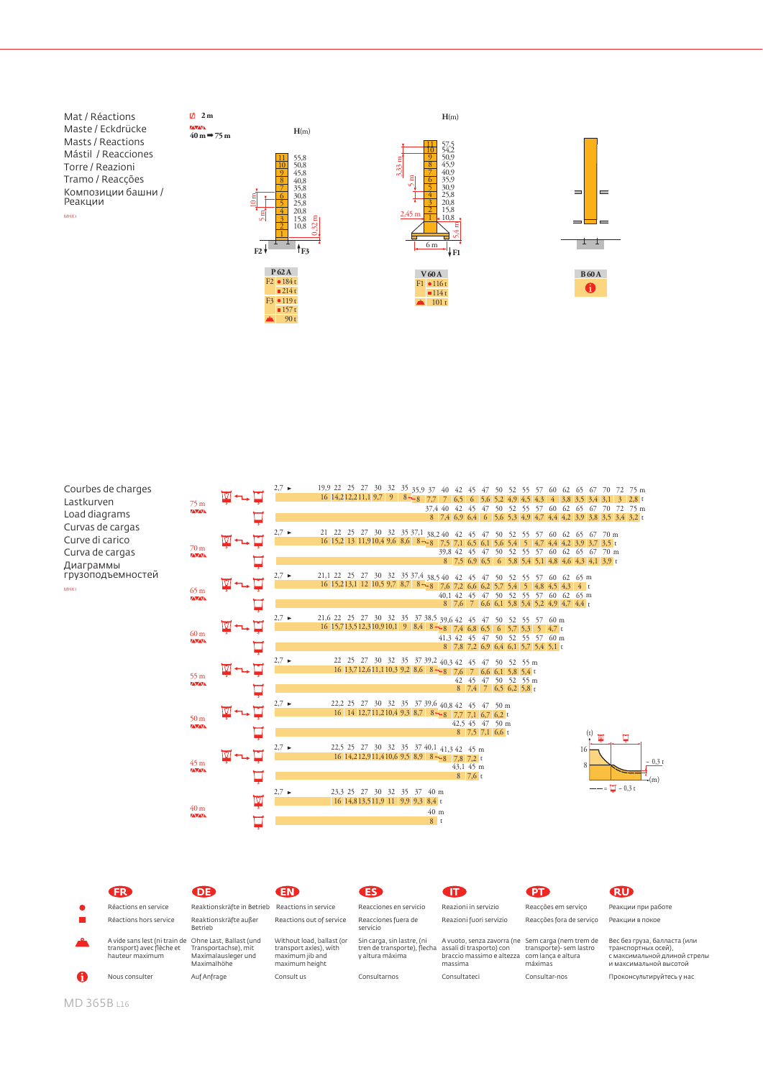





90 t

**H**(m)





## Courbes de charges Lastkurven Load diagrams Curvas de cargas Curve di carico Curva de cargas Диаграммы<br>грузоподъемностей MHX 1

| 75 <sub>m</sub><br><b>ZAVANA</b><br>70 <sub>m</sub><br><b>ZAVANA</b> | $\blacksquare \neg \blacksquare$ |   | $2,7 \rightarrow$ | 19,9 22 25 27 30 32 35 35,9 37 40 42 45 47 50 52 55 57 60 62 65 67 70 72 75 m                                                                                     |                                                               |
|----------------------------------------------------------------------|----------------------------------|---|-------------------|-------------------------------------------------------------------------------------------------------------------------------------------------------------------|---------------------------------------------------------------|
|                                                                      |                                  |   |                   | 16 14, 212, 211, 1 9, 7 9   8 - 8   7, 7   7   6, 5   6   5, 6   5, 2   4, 9   4, 5   4, 3   4   3, 8   3, 5   3, 4   3, 1   3   2, 8 t                           | 37,4 40 42 45 47 50 52 55 57 60 62 65 67 70 72 75 m           |
|                                                                      |                                  |   |                   |                                                                                                                                                                   | 8 7,4 6,9 6,4 6 5,6 5,3 4,9 4,7 4,4 4,2 3,9 3,8 3,5 3,4 3,2 t |
|                                                                      |                                  |   | $2,7 \rightarrow$ |                                                                                                                                                                   |                                                               |
|                                                                      |                                  |   |                   | 21 22 25 27 30 32 35 37,1 38,2 40 42 45 47 50 52 55 57 60 62 65 67 70 m<br>16 15,2 13 11,9 10,4 9,6 8,6 8 - 8 7,5 7,1 6,5 6,1 5,6 5,4 5 4,7 4,4 4,2 3,9 3,7 3,5 t |                                                               |
|                                                                      |                                  |   |                   |                                                                                                                                                                   | 39,8 42 45 47 50 52 55 57 60 62 65 67 70 m                    |
|                                                                      |                                  |   |                   |                                                                                                                                                                   | 8 7.5 6.9 6.5 6 5.8 5.4 5.1 4.8 4.6 4.3 4.1 3.9 t             |
|                                                                      |                                  |   | $2,7 \rightarrow$ | 21,1 22 25 27 30 32 35 37,4 38,5 40 42 45 47 50 52 55 57 60 62 65 m                                                                                               |                                                               |
|                                                                      |                                  |   |                   | 16 15,213,1 12 10,5 9,7 8,7 8 - 8 7,6 7,2 6,6 6,2 5,7 5,4 5 4,8 4,5 4,3 4 t                                                                                       |                                                               |
| 65 <sub>m</sub><br><b>ZAVANA</b>                                     |                                  |   |                   |                                                                                                                                                                   | 40,1 42 45 47 50 52 55 57 60 62 65 m                          |
|                                                                      |                                  |   |                   |                                                                                                                                                                   | 8 7,6 7 6,6 6,1 5,8 5,4 5,2 4,9 4,7 4,4 t                     |
|                                                                      |                                  |   | $2,7 \rightarrow$ | 21,6 22 25 27 30 32 35 37 38,5 39,6 42 45 47 50 52 55 57 60 m                                                                                                     |                                                               |
| 60 <sub>m</sub>                                                      |                                  |   |                   | 16 15,713,512,310,910,1 9 8,4 8 - 8 7,4 6,8 6,5 6 5,7 5,3 5 4,7 t                                                                                                 |                                                               |
| <b>ZAVANA</b>                                                        |                                  |   |                   | 41,3 42 45 47 50 52 55 57 60 m<br>8 7,8 7,2 6,9 6,4 6,1 5,7 5,4 5,1 t                                                                                             |                                                               |
|                                                                      |                                  |   |                   |                                                                                                                                                                   |                                                               |
|                                                                      |                                  |   | $2,7 \rightarrow$ | 22 25 27 30 32 35 37 39,2 40,3 42 45 47 50 52 55 m<br>16 13,712,611,110,3 9,2 8,6 8 -> 8 7,6 7 6,6 6,1 5,8 5,4 t                                                  |                                                               |
| 55 <sub>m</sub>                                                      |                                  |   |                   | 42 45 47 50 52 55 m                                                                                                                                               |                                                               |
| <b>ZAVANA</b>                                                        |                                  |   |                   | 8 7,4 7 6,5 6,2 5,8 t                                                                                                                                             |                                                               |
|                                                                      |                                  |   | $2.7 \rightarrow$ | 22,2 25 27 30 32 35 37 39,6 40,8 42 45 47 50 m                                                                                                                    |                                                               |
|                                                                      |                                  |   |                   | 16 14 12,711,210,4 9,3 8,7 8 - 8 7,7 7,1 6,7 6,2 t                                                                                                                |                                                               |
| 50 <sub>m</sub><br><b>ZAVANA</b>                                     |                                  |   |                   | 42,5 45 47 50 m                                                                                                                                                   |                                                               |
|                                                                      |                                  |   |                   | $8$ 7.5 7.1 6.6 t                                                                                                                                                 | ঢ়                                                            |
| 45 <sub>m</sub><br><b>ZAVANA</b>                                     |                                  |   | $2,7 \rightarrow$ | 22,5 25 27 30 32 35 37 40,1 41,3 42 45 m                                                                                                                          | 16                                                            |
|                                                                      | ⊻∼⊡                              |   |                   | 16 14,212,911,410,6 9,5 8,9 8 - 8 7,8 7,2 t                                                                                                                       | $-0,3$ t                                                      |
|                                                                      |                                  |   |                   | 43,1 45 m                                                                                                                                                         | 8                                                             |
|                                                                      |                                  |   |                   | $8\,7.6\,\mathrm{t}$                                                                                                                                              | $+(m)$                                                        |
|                                                                      |                                  |   | $2,7 \rightarrow$ | 23.3 25 27 30 32 35 37 40 m                                                                                                                                       | $- = \square - 0.3t$                                          |
| 40 <sub>m</sub>                                                      |                                  | Ņ |                   | 16 14,813,511,9 11 9,9 9,3 8,4 t                                                                                                                                  |                                                               |
| <b>ZAVANA</b>                                                        |                                  |   |                   | 40 <sub>m</sub>                                                                                                                                                   |                                                               |
|                                                                      |                                  |   |                   | 8 <sup>t</sup>                                                                                                                                                    |                                                               |

| <b>FR</b>                                                                                             | <b>DE</b>                                                  | END                                                                                      | <b>ES</b>                                                                                             |                                                                                           | <b>PT</b>                                                | <b>RU</b>                                                                                                     |
|-------------------------------------------------------------------------------------------------------|------------------------------------------------------------|------------------------------------------------------------------------------------------|-------------------------------------------------------------------------------------------------------|-------------------------------------------------------------------------------------------|----------------------------------------------------------|---------------------------------------------------------------------------------------------------------------|
| Réactions en service                                                                                  | Reaktionskräfte in Betrieb Reactions in service            |                                                                                          | Reacciones en servicio                                                                                | Reazioni in servizio                                                                      | Reacções em servico                                      | Реакции при работе                                                                                            |
| Réactions hors service                                                                                | Reaktionskräfte außer<br><b>Betrieb</b>                    | Reactions out of service                                                                 | Reacciones fuera de<br>servicio                                                                       | Reazioni fuori servizio                                                                   | Reaccões fora de servico                                 | Реакции в покое                                                                                               |
| A vide sans lest (ni train de Ohne Last, Ballast (und<br>transport) avec flèche et<br>hauteur maximum | Transportachse), mit<br>Maximalausleger und<br>Maximalhöhe | Without load, ballast (or<br>transport axles), with<br>maximum jib and<br>maximum height | Sin carga, sin lastre, (ni<br>tren de transporte), flecha assali di trasporto) con<br>v altura máxima | A vuoto, senza zavorra (ne Sem carga (nem trem de<br>braccio massimo e altezza<br>massima | transporte)- sem lastro<br>com lanca e altura<br>máximas | Вес без груза, балласта (или<br>транспортных осей).<br>с максимальной длиной стрелы<br>и максимальной высотой |
| Nous consulter                                                                                        | Auf Anfrage                                                | Consult us                                                                               | Consultarnos                                                                                          | Consultateci                                                                              | Consultar-nos                                            | Проконсультируйтесь у нас                                                                                     |

MD 365B L16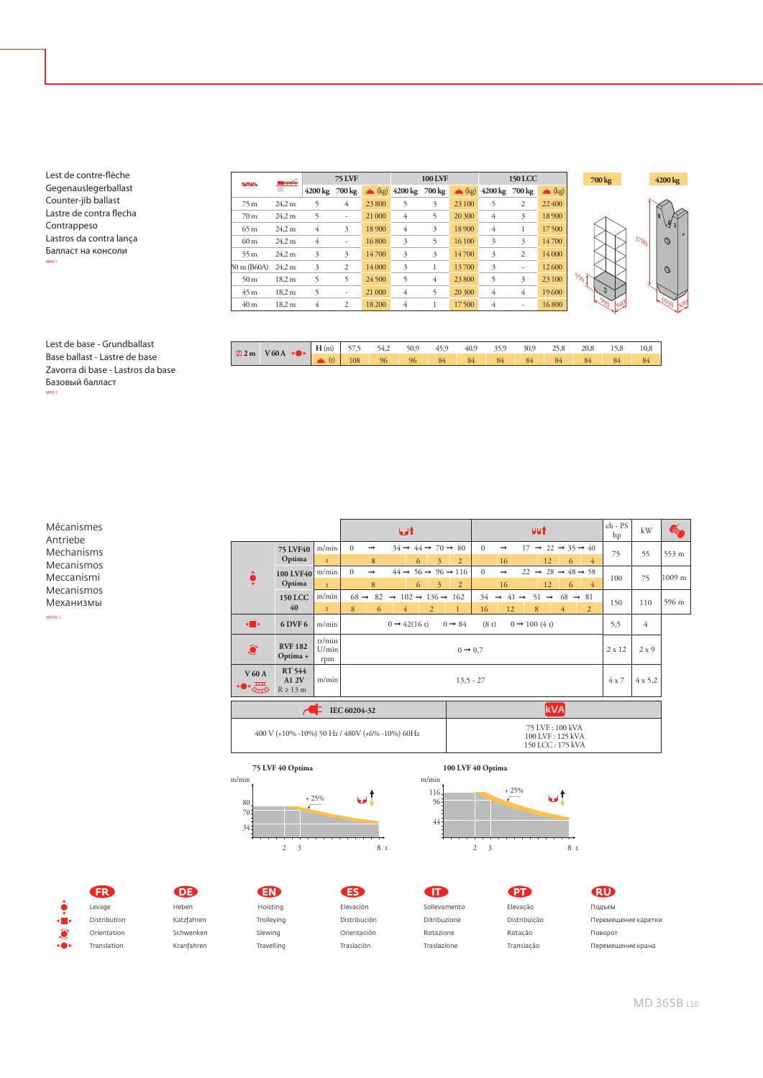Lest de contre-flèche Gegenauslegerballast Counter-jib ballast Lastre de contra flecha Contrappeso Lastros da contra lança Балласт на консоли MHX 1

| <b>ZAVANA</b>   | ਢ⊯<br>Ш           | <b>75 LVF</b>  |                          |        | 100 LVF               |   |        | <b>150 LCC</b>        |                          |                  |
|-----------------|-------------------|----------------|--------------------------|--------|-----------------------|---|--------|-----------------------|--------------------------|------------------|
|                 |                   | 4200 kg 700 kg |                          |        | $(kg)$ 4200 kg 700 kg |   |        | $(kg)$ 4200 kg 700 kg |                          | $\triangle$ (kg) |
| 75 m            | 24.2 m            | 5              | $\overline{4}$           | 23 800 | 5                     | 3 | 23 100 | 5                     | 2                        | 22 400           |
| 70 <sub>m</sub> | 24.2 m            | 5              | $\overline{\phantom{a}}$ | 21 000 | 4                     | 5 | 20 300 | 4                     | 3                        | 18 900           |
| 65m             | 24.2 m            | 4              | 3                        | 18 900 | 4                     | 3 | 18 900 | 4                     | 1                        | 17500            |
| 60 <sub>m</sub> | 24.2 m            | 4              | ٠                        | 16800  | 3                     | 5 | 16 100 | 3                     | 3                        | 14700            |
| 55m             | 24.2 m            | 3              | 3                        | 14700  | 3                     | 3 | 14700  | 3                     | $\overline{2}$           | 14 000           |
| 50 m (B60A)     | 24.2 m            | 3              | $\overline{2}$           | 14 000 | 3                     | 1 | 13700  | 3                     | $\overline{\phantom{m}}$ | 12 600           |
| 50 <sub>m</sub> | 18.2 <sub>m</sub> | 5              | 5                        | 24 500 | 5                     | 4 | 23 800 | 5                     | 3                        | 23 100           |
| 45m             | 18.2 <sub>m</sub> | 5              | $\overline{a}$           | 21 000 | 4                     | 5 | 20 300 | 4                     | $\overline{4}$           | 19600            |
| 40 <sub>m</sub> | 18,2 m            | 4              | $\overline{2}$           | 18 200 | 4                     |   | 17 500 | 4                     | ÷,                       | 16800            |

| $\sqrt{2}$ 2 m | 760A<br>ЪF. | H(m) | $- - -$<br>ר./ר | 54,2 | 50,9 | 45,9 | 40,9 | 35,9 | 30,9 | 25,8 | 20,8 | 15,8 | 10,8 |
|----------------|-------------|------|-----------------|------|------|------|------|------|------|------|------|------|------|
|                |             |      | 108             | 96   | 96   | 84   | 84   | 84   | 84   | 84   | 84   | 84   | 84   |

540

 $3780$ 

**700 kg 4200 kg**

990

 $\frac{1030}{500}$ 

 $\mathcal{O}$ 

Lest de base - Grundballast Base ballast - Lastre de base Zavorra di base - Lastros da base Базовый балласт MHX 1

Mécanismes Antriebe Mechanisms Mecanismos Meccanismi Mecanismos Механизмы MARINE

|                                  |                        | uut<br>1 ادما                                                                                                                                                                                                                                        | $ch - PS$<br>hp                                                | kW             |        |  |  |  |  |
|----------------------------------|------------------------|------------------------------------------------------------------------------------------------------------------------------------------------------------------------------------------------------------------------------------------------------|----------------------------------------------------------------|----------------|--------|--|--|--|--|
| <b>75 LVF40</b><br>Optima        | m/min<br>$\mathbf{t}$  | $\Omega$<br>$34 \rightarrow 44 \rightarrow 70 \rightarrow 80$<br>$\Omega$<br>$17 \rightarrow 22 \rightarrow 35 \rightarrow 40$<br>$\rightarrow$<br>$\rightarrow$<br>6<br>8<br>3<br>12.<br>6<br>$\overline{2}$<br>16<br>$\overline{4}$                | 75                                                             | 55             | 553 m  |  |  |  |  |
| Optima                           | m/min<br>$\mathbf{t}$  | $44 \rightarrow 56 \rightarrow 96 \rightarrow 116$<br>$\Omega$<br>$\Omega$<br>$22 \rightarrow 28 \rightarrow 48 \rightarrow 58$<br>$\rightarrow$<br>$\rightarrow$<br>8<br>6<br>3<br>$\overline{2}$<br>16<br>12<br>6<br>$\overline{4}$                | 100                                                            | 75             | 1009 m |  |  |  |  |
| <b>150 LCC</b><br>40             | m/min<br>$\mathbf{t}$  | $68 \rightarrow 82 \rightarrow 102 \rightarrow 136 \rightarrow 162$<br>$34 \rightarrow 41 \rightarrow$<br>$51 \rightarrow$<br>$68 \rightarrow 81$<br>8<br>12<br>$\overline{2}$<br>16<br>8<br>$\overline{2}$<br>6<br>$\overline{4}$<br>$\overline{4}$ | 150                                                            | 110            | 596 m  |  |  |  |  |
| 6 DVF 6                          | m/min                  | $0 \rightarrow 42(16 \text{ t})$<br>$0 \rightarrow 84$<br>(8t)<br>$0 \rightarrow 100(4 t)$                                                                                                                                                           | 5,5                                                            | 4              |        |  |  |  |  |
| <b>RVF 182</b><br>Optima +       | tr/min<br>U/min<br>rpm | $0 \rightarrow 0.7$                                                                                                                                                                                                                                  | $2 \times 12$                                                  | $2 \times 9$   |        |  |  |  |  |
| RT 544<br>A1 2V<br>$R \geq 13$ m | m/min                  | $13.5 - 27$                                                                                                                                                                                                                                          | $4 \times 7$                                                   | $4 \times 5,2$ |        |  |  |  |  |
|                                  |                        | <b>kVA</b>                                                                                                                                                                                                                                           |                                                                |                |        |  |  |  |  |
|                                  |                        | 75 LVF: 100 kVA<br>100 LVF: 125 kVA<br>150 LCC: 175 kVA                                                                                                                                                                                              |                                                                |                |        |  |  |  |  |
|                                  |                        | 100 LVF40                                                                                                                                                                                                                                            | IEC 60204-32<br>400 V (+10% -10%) 50 Hz / 480V (+6% -10%) 60Hz |                |        |  |  |  |  |